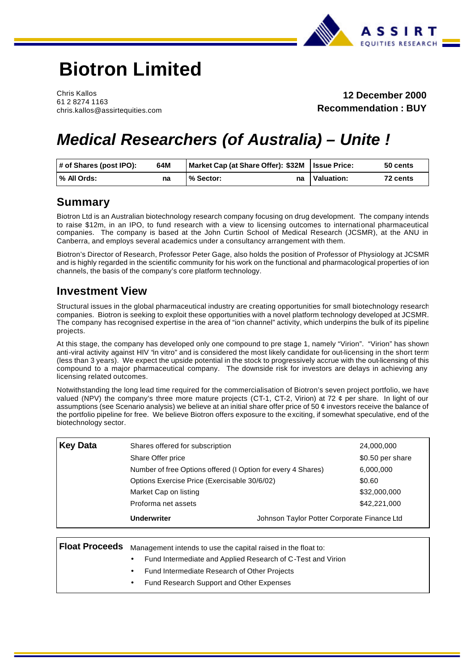

# **Biotron Limited**

Chris Kallos 61 2 8274 1163 chris.kallos@assirtequities.com

**12 December 2000 Recommendation : BUY** 

# *Medical Researchers (of Australia) – Unite !*

| # of Shares (post IPO): | 64M | Market Cap (at Share Offer): \$32M   Issue Price: | 50 cents               |  |
|-------------------------|-----|---------------------------------------------------|------------------------|--|
| % All Ords:             | na  | % Sector:<br>na                                   | Valuation:<br>72 cents |  |

### **Summary**

Biotron Ltd is an Australian biotechnology research company focusing on drug development. The company intends to raise \$12m, in an IPO, to fund research with a view to licensing outcomes to international pharmaceutical companies. The company is based at the John Curtin School of Medical Research (JCSMR), at the ANU in Canberra, and employs several academics under a consultancy arrangement with them.

Biotron's Director of Research, Professor Peter Gage, also holds the position of Professor of Physiology at JCSMR and is highly regarded in the scientific community for his work on the functional and pharmacological properties of ion channels, the basis of the company's core platform technology.

### **Investment View**

Structural issues in the global pharmaceutical industry are creating opportunities for small biotechnology research companies. Biotron is seeking to exploit these opportunities with a novel platform technology developed at JCSMR. The company has recognised expertise in the area of "ion channel" activity, which underpins the bulk of its pipeline projects.

At this stage, the company has developed only one compound to pre stage 1, namely "Virion". "Virion" has shown anti-viral activity against HIV "in vitro" and is considered the most likely candidate for out-licensing in the short term (less than 3 years). We expect the upside potential in the stock to progressively accrue with the out-licensing of this compound to a major pharmaceutical company. The downside risk for investors are delays in achieving any licensing related outcomes.

Notwithstanding the long lead time required for the commercialisation of Biotron's seven project portfolio, we have valued (NPV) the company's three more mature projects (CT-1, CT-2, Virion) at 72 ¢ per share. In light of our assumptions (see Scenario analysis) we believe at an initial share offer price of 50 ¢ investors receive the balance of the portfolio pipeline for free. We believe Biotron offers exposure to the exciting, if somewhat speculative, end of the biotechnology sector.

| <b>Key Data</b> | Shares offered for subscription                              |                                             | 24,000,000       |
|-----------------|--------------------------------------------------------------|---------------------------------------------|------------------|
|                 | Share Offer price                                            |                                             | \$0.50 per share |
|                 | Number of free Options offered (I Option for every 4 Shares) |                                             | 6,000,000        |
|                 | Options Exercise Price (Exercisable 30/6/02)                 |                                             | \$0.60           |
|                 | Market Cap on listing                                        |                                             | \$32,000,000     |
|                 | Proforma net assets                                          |                                             | \$42,221,000     |
|                 | <b>Underwriter</b>                                           | Johnson Taylor Potter Corporate Finance Ltd |                  |

 **Float Proceeds** Management intends to use the capital raised in the float to:

- Fund Intermediate and Applied Research of C-Test and Virion
- Fund Intermediate Research of Other Projects
- Fund Research Support and Other Expenses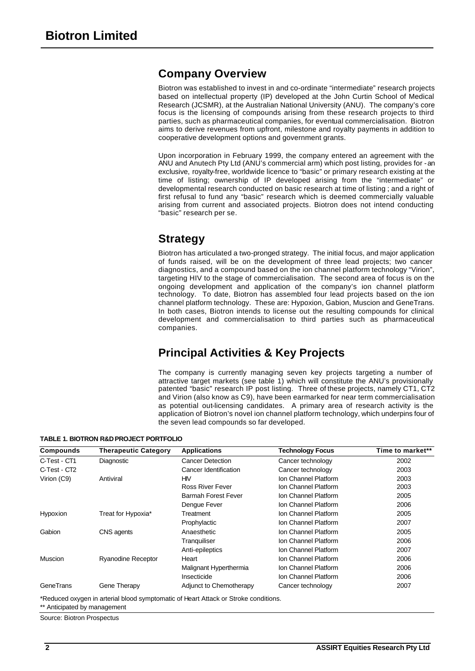## **Company Overview**

Biotron was established to invest in and co-ordinate "intermediate" research projects based on intellectual property (IP) developed at the John Curtin School of Medical Research (JCSMR), at the Australian National University (ANU). The company's core focus is the licensing of compounds arising from these research projects to third parties, such as pharmaceutical companies, for eventual commercialisation. Biotron aims to derive revenues from upfront, milestone and royalty payments in addition to cooperative development options and government grants.

Upon incorporation in February 1999, the company entered an agreement with the ANU and Anutech Pty Ltd (ANU's commercial arm) which post listing, provides for - an exclusive, royalty-free, worldwide licence to "basic" or primary research existing at the time of listing; ownership of IP developed arising from the "intermediate" or developmental research conducted on basic research at time of listing ; and a right of first refusal to fund any "basic" research which is deemed commercially valuable arising from current and associated projects. Biotron does not intend conducting "basic" research per se.

## **Strategy**

Biotron has articulated a two-pronged strategy. The initial focus, and major application of funds raised, will be on the development of three lead projects; two cancer diagnostics, and a compound based on the ion channel platform technology "Virion", targeting HIV to the stage of commercialisation. The second area of focus is on the ongoing development and application of the company's ion channel platform technology. To date, Biotron has assembled four lead projects based on the ion channel platform technology. These are: Hypoxion, Gabion, Muscion and GeneTrans. In both cases, Biotron intends to license out the resulting compounds for clinical development and commercialisation to third parties such as pharmaceutical companies.

# **Principal Activities & Key Projects**

The company is currently managing seven key projects targeting a number of attractive target markets (see table 1) which will constitute the ANU's provisionally patented "basic" research IP post listing. Three of these projects, namely CT1, CT2 and Virion (also know as C9), have been earmarked for near term commercialisation as potential out-licensing candidates. A primary area of research activity is the application of Biotron's novel ion channel platform technology, which underpins four of the seven lead compounds so far developed.

**Compounds Therapeutic Category Applications Technology Focus Time to market\*\***  C-Test - CT1 Diagnostic Cancer Detection Cancer technology 2002 C-Test - CT2 Cancer Identification Cancer technology 2003 Virion (C9) Antiviral HIV Ion Channel Platform 2003 Ross River Fever **Ion Channel Platform** 2003 Barmah Forest Fever Ion Channel Platform 2005 Dengue Fever **Ion Channel Platform** 2006 Hypoxion Treat for Hypoxia\* Treatment Ion Channel Platform 2005 Prophylactic **Ion Channel Platform** 2007 Gabion CNS agents **CNS** Anaesthetic **Anaesthetic** Ion Channel Platform 2005 Tranquiliser **Ion Channel Platform** 2006 Anti-epileptics **Ion Channel Platform** 2007 Muscion **Ryanodine Receptor** Heart **Integral 2006 Ion Channel Platform** 2006 Malignant Hyperthermia Ion Channel Platform 2006 Insecticide **Insecticide** Ion Channel Platform 2006 GeneTrans Gene Therapy Adjunct to Chemotherapy Cancer technology 2007

**TABLE 1. BIOTRON R&D PROJECT PORTFOLIO**

\*Reduced oxygen in arterial blood symptomatic of Heart Attack or Stroke conditions.

\*\* Anticipated by management

Source: Biotron Prospectus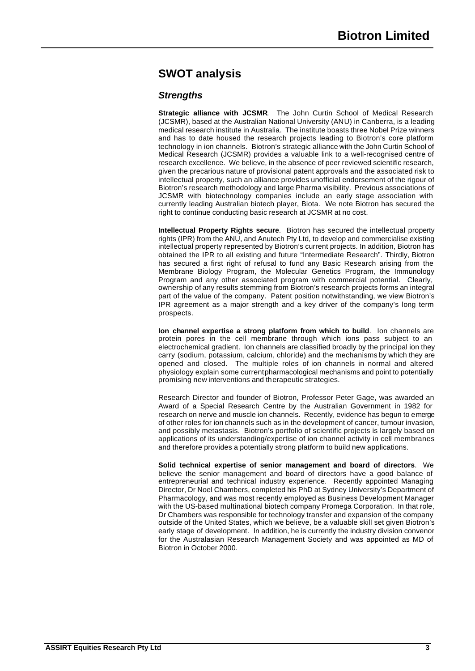# **SWOT analysis**

### *Strengths*

**Strategic alliance with JCSMR**. The John Curtin School of Medical Research (JCSMR), based at the Australian National University (ANU) in Canberra, is a leading medical research institute in Australia. The institute boasts three Nobel Prize winners and has to date housed the research projects leading to Biotron's core platform technology in ion channels. Biotron's strategic alliance with the John Curtin School of Medical Research (JCSMR) provides a valuable link to a well-recognised centre of research excellence. We believe, in the absence of peer reviewed scientific research, given the precarious nature of provisional patent approvals and the associated risk to intellectual property, such an alliance provides unofficial endorsement of the rigour of Biotron's research methodology and large Pharma visibility. Previous associations of JCSMR with biotechnology companies include an early stage association with currently leading Australian biotech player, Biota. We note Biotron has secured the right to continue conducting basic research at JCSMR at no cost.

**Intellectual Property Rights secure**. Biotron has secured the intellectual property rights (IPR) from the ANU, and Anutech Pty Ltd, to develop and commercialise existing intellectual property represented by Biotron's current projects. In addition, Biotron has obtained the IPR to all existing and future "Intermediate Research". Thirdly, Biotron has secured a first right of refusal to fund any Basic Research arising from the Membrane Biology Program, the Molecular Genetics Program, the Immunology Program and any other associated program with commercial potential. Clearly, ownership of any results stemming from Biotron's research projects forms an integral part of the value of the company. Patent position notwithstanding, we view Biotron's IPR agreement as a major strength and a key driver of the company's long term prospects.

**Ion channel expertise a strong platform from which to build**. Ion channels are protein pores in the cell membrane through which ions pass subject to an electrochemical gradient. Ion channels are classified broadly by the principal ion they carry (sodium, potassium, calcium, chloride) and the mechanisms by which they are opened and closed. The multiple roles of ion channels in normal and altered physiology explain some currentpharmacological mechanisms and point to potentially promising new interventions and therapeutic strategies.

Research Director and founder of Biotron, Professor Peter Gage, was awarded an Award of a Special Research Centre by the Australian Government in 1982 for research on nerve and muscle ion channels. Recently, evidence has begun to emerge of other roles for ion channels such as in the development of cancer, tumour invasion, and possibly metastasis. Biotron's portfolio of scientific projects is largely based on applications of its understanding/expertise of ion channel activity in cell membranes and therefore provides a potentially strong platform to build new applications.

**Solid technical expertise of senior management and board of directors**. We believe the senior management and board of directors have a good balance of entrepreneurial and technical industry experience. Recently appointed Managing Director, Dr Noel Chambers, completed his PhD at Sydney University's Department of Pharmacology, and was most recently employed as Business Development Manager with the US-based multinational biotech company Promega Corporation. In that role, Dr Chambers was responsible for technology transfer and expansion of the company outside of the United States, which we believe, be a valuable skill set given Biotron's early stage of development. In addition, he is currently the industry division convenor for the Australasian Research Management Society and was appointed as MD of Biotron in October 2000.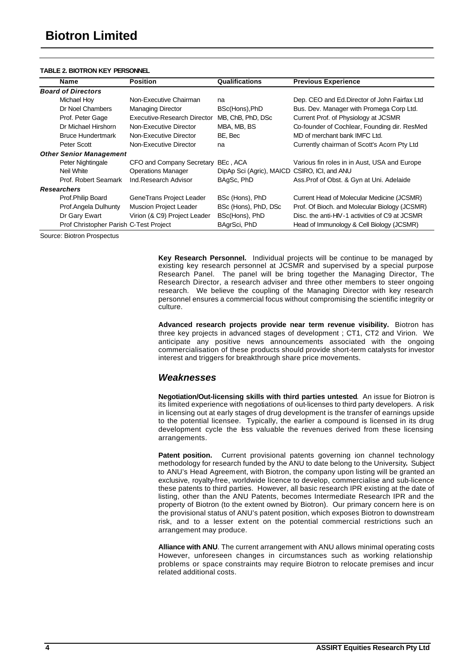### **TABLE 2. BIOTRON KEY PERSONNEL**

| <b>Name</b>                            | <b>Position</b>               | Qualifications                               | <b>Previous Experience</b>                     |
|----------------------------------------|-------------------------------|----------------------------------------------|------------------------------------------------|
| <b>Board of Directors</b>              |                               |                                              |                                                |
| Michael Hoy                            | Non-Executive Chairman        | na                                           | Dep. CEO and Ed.Director of John Fairfax Ltd   |
| Dr Noel Chambers                       | <b>Managing Director</b>      | BSc(Hons), PhD                               | Bus. Dev. Manager with Promega Corp Ltd.       |
| Prof. Peter Gage                       | Executive-Research Director   | MB, ChB, PhD, DSc                            | Current Prof. of Physiology at JCSMR           |
| Dr Michael Hirshorn                    | Non-Executive Director        | MBA, MB, BS                                  | Co-founder of Cochlear, Founding dir. ResMed   |
| <b>Bruce Hundertmark</b>               | Non-Executive Director        | BE, Bec                                      | MD of merchant bank IMFC Ltd.                  |
| Peter Scott                            | Non-Executive Director        | na                                           | Currently chairman of Scott's Acorn Pty Ltd    |
| <b>Other Senior Management</b>         |                               |                                              |                                                |
| Peter Nightingale                      | CFO and Company Secretary     | BEc, ACA                                     | Various fin roles in in Aust, USA and Europe   |
| Neil White                             | <b>Operations Manager</b>     | DipAp Sci (Agric), MAICD CSIRO, ICI, and ANU |                                                |
| Prof. Robert Seamark                   | Ind.Research Advisor          | BAgSc, PhD                                   | Ass. Prof of Obst. & Gyn at Uni. Adelaide      |
| <b>Researchers</b>                     |                               |                                              |                                                |
| Prof.Philip Board                      | GeneTrans Project Leader      | BSc (Hons), PhD                              | Current Head of Molecular Medicine (JCSMR)     |
| Prof.Angela Dulhunty                   | <b>Muscion Project Leader</b> | BSc (Hons), PhD, DSc                         | Prof. Of Bioch. and Molecular Biology (JCSMR)  |
| Dr Gary Ewart                          | Virion (& C9) Project Leader  | BSc(Hons), PhD                               | Disc. the anti-HIV-1 activities of C9 at JCSMR |
| Prof Christopher Parish C-Test Project |                               | BAgrSci, PhD                                 | Head of Immunology & Cell Biology (JCSMR)      |

Source: Biotron Prospectus

**Key Research Personnel.** Individual projects will be continue to be managed by existing key research personnel at JCSMR and supervised by a special purpose Research Panel. The panel will be bring together the Managing Director, The Research Director, a research adviser and three other members to steer ongoing research. We believe the coupling of the Managing Director with key research personnel ensures a commercial focus without compromising the scientific integrity or culture.

**Advanced research projects provide near term revenue visibility.** Biotron has three key projects in advanced stages of development ; CT1, CT2 and Virion. We anticipate any positive news announcements associated with the ongoing commercialisation of these products should provide short-term catalysts for investor interest and triggers for breakthrough share price movements.

### *Weaknesses*

**Negotiation/Out-licensing skills with third parties untested**. An issue for Biotron is its limited experience with negotiations of out-licenses to third party developers. A risk in licensing out at early stages of drug development is the transfer of earnings upside to the potential licensee. Typically, the earlier a compound is licensed in its drug development cycle the less valuable the revenues derived from these licensing arrangements.

**Patent position.** Current provisional patents governing ion channel technology methodology for research funded by the ANU to date belong to the University**.** Subject to ANU's Head Agreement, with Biotron, the company upon listing will be granted an exclusive, royalty-free, worldwide licence to develop, commercialise and sub-licence these patents to third parties. However, all basic research IPR existing at the date of listing, other than the ANU Patents, becomes Intermediate Research IPR and the property of Biotron (to the extent owned by Biotron). Our primary concern here is on the provisional status of ANU's patent position, which exposes Biotron to downstream risk, and to a lesser extent on the potential commercial restrictions such an arrangement may produce.

**Alliance with ANU**. The current arrangement with ANU allows minimal operating costs However, unforeseen changes in circumstances such as working relationship problems or space constraints may require Biotron to relocate premises and incur related additional costs.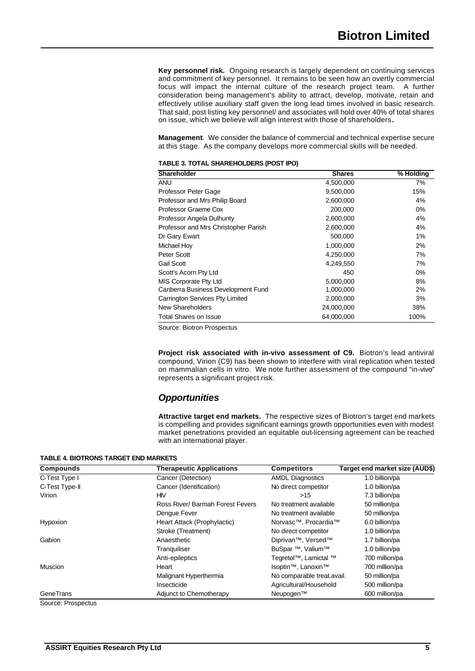**Key personnel risk.** Ongoing research is largely dependent on continuing services and commitment of key personnel. It remains to be seen how an overtly commercial focus will impact the internal culture of the research project team. A further consideration being management's ability to attract, develop, motivate, retain and effectively utilise auxiliary staff given the long lead times involved in basic research. That said, post listing key personnel/ and associates will hold over 40% of total shares on issue, which we believe will align interest with those of shareholders**.** 

**Management**. We consider the balance of commercial and technical expertise secure at this stage. As the company develops more commercial skills will be needed.

| TABLE 3. TOTAL SHAREHOLDERS (POST IPO) |  |  |
|----------------------------------------|--|--|
|----------------------------------------|--|--|

| <b>Shareholder</b>                   | <b>Shares</b> | % Holding |
|--------------------------------------|---------------|-----------|
| ANU                                  | 4,500,000     | 7%        |
| Professor Peter Gage                 | 9,500,000     | 15%       |
| Professor and Mrs Philip Board       | 2,600,000     | 4%        |
| Professor Graeme Cox                 | 200,000       | $0\%$     |
| Professor Angela Dulhunty            | 2,600,000     | 4%        |
| Professor and Mrs Christopher Parish | 2,600,000     | 4%        |
| Dr Gary Ewart                        | 500,000       | 1%        |
| Michael Hoy                          | 1,000,000     | 2%        |
| Peter Scott                          | 4,250,000     | 7%        |
| Gail Scott                           | 4,249,550     | 7%        |
| Scott's Acorn Pty Ltd                | 450           | $0\%$     |
| MIS Corporate Pty Ltd                | 5,000,000     | 8%        |
| Canberra Business Development Fund   | 1,000,000     | 2%        |
| Carrington Services Pty Limited      | 2,000,000     | 3%        |
| New Shareholders                     | 24,000,000    | 38%       |
| <b>Total Shares on Issue</b>         | 64,000,000    | 100%      |

Source: Biotron Prospectus

**Project risk associated with in-vivo assessment of C9.** Biotron's lead antiviral compound, Virion (C9) has been shown to interfere with viral replication when tested on mammalian cells in vitro. We note further assessment of the compound "in-vivo" represents a significant project risk.

### *Opportunities*

**Attractive target end markets.** The respective sizes of Biotron's target end markets is compelling and provides significant earnings growth opportunities even with modest market penetrations provided an equitable out-licensing agreement can be reached with an international player.

| <b>Compounds</b> | <b>Therapeutic Applications</b>  | <b>Competitors</b>                | Target end market size (AUD\$) |
|------------------|----------------------------------|-----------------------------------|--------------------------------|
| C-Test Type I    | Cancer (Detection)               | <b>AMDL Diagnostics</b>           | 1.0 billion/pa                 |
| C-Test Type-II   | Cancer (Identification)          | No direct competitor              | 1.0 billion/pa                 |
| Virion           | HM                               | >15                               | 7.3 billion/pa                 |
|                  | Ross River/ Barmah Forest Fevers | No treatment available            | 50 million/pa                  |
|                  | Dengue Fever                     | No treatment available            | 50 million/pa                  |
| Hypoxion         | Heart Attack (Prophylactic)      | Norvasc <sup>™</sup> , Procardia™ | 6.0 billion/pa                 |
|                  | Stroke (Treatment)               | No direct competitor              | 1.0 billion/pa                 |
| Gabion           | Anaesthetic                      | Diprivan <sup>™</sup> , Versed™   | 1.7 billion/pa                 |
|                  | Tranquiliser                     | BuSpar ™, Valium™                 | 1.0 billion/pa                 |
|                  | Anti-epileptics                  | Tegretol™, Lamictal ™             | 700 million/pa                 |
| <b>Muscion</b>   | Heart                            | Isoptin <sup>™</sup> , Lanoxin™   | 700 million/pa                 |
|                  | Malignant Hyperthermia           | No comparable treat.avail.        | 50 million/pa                  |
|                  | Insecticide                      | Agricultural/Household            | 500 million/pa                 |
| GeneTrans        | Adjunct to Chemotherapy          | Neupogen™                         | 600 million/pa                 |

### **TABLE 4. BIOTRONS TARGET END MARKETS**

Source: Prospectus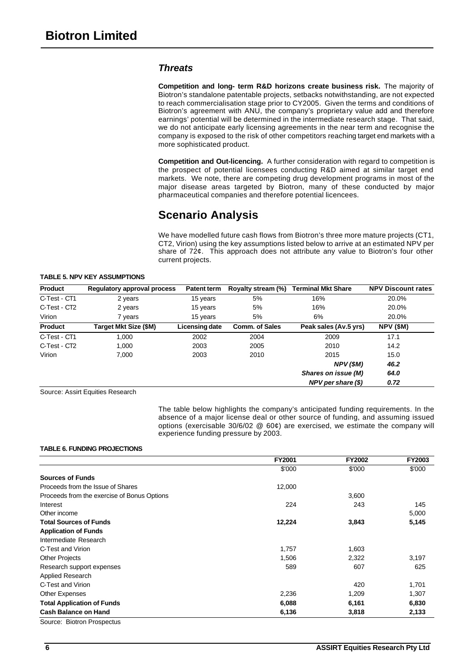### *Threats*

**Competition and long- term R&D horizons create business risk.** The majority of Biotron's standalone patentable projects, setbacks notwithstanding, are not expected to reach commercialisation stage prior to CY2005. Given the terms and conditions of Biotron's agreement with ANU, the company's proprietary value add and therefore earnings' potential will be determined in the intermediate research stage. That said, we do not anticipate early licensing agreements in the near term and recognise the company is exposed to the risk of other competitors reaching target end markets with a more sophisticated product.

**Competition and Out-licencing.** A further consideration with regard to competition is the prospect of potential licensees conducting R&D aimed at similar target end markets. We note, there are competing drug development programs in most of the major disease areas targeted by Biotron, many of these conducted by major pharmaceutical companies and therefore potential licencees.

## **Scenario Analysis**

We have modelled future cash flows from Biotron's three more mature projects (CT1, CT2, Virion) using the key assumptions listed below to arrive at an estimated NPV per share of 72¢. This approach does not attribute any value to Biotron's four other current projects.

### **TABLE 5. NPV KEY ASSUMPTIONS**

| <b>Product</b> | <b>Regulatory approval process</b> | <b>Patent term</b> | Royalty stream (%)    | <b>Terminal Mkt Share</b> | <b>NPV Discount rates</b> |
|----------------|------------------------------------|--------------------|-----------------------|---------------------------|---------------------------|
| C-Test - CT1   | 2 years                            | 15 years           | 5%                    | 16%                       | 20.0%                     |
| C-Test - CT2   | 2 years                            | 15 years           | 5%                    | 16%                       | 20.0%                     |
| Virion         | 7 years                            | 15 years           | 5%                    | 6%                        | 20.0%                     |
| <b>Product</b> | Target Mkt Size (\$M)              | Licensing date     | <b>Comm. of Sales</b> | Peak sales (Av.5 yrs)     | <b>NPV (\$M)</b>          |
| C-Test - CT1   | 1.000                              | 2002               | 2004                  | 2009                      | 17.1                      |
| C-Test - CT2   | 1.000                              | 2003               | 2005                  | 2010                      | 14.2                      |
| Virion         | 7.000                              | 2003               | 2010                  | 2015                      | 15.0                      |
|                |                                    |                    |                       | NPV(SM)                   | 46.2                      |
|                |                                    |                    |                       | Shares on issue (M)       | 64.0                      |
|                |                                    |                    |                       | $NPV$ per share $(\$)$    | 0.72                      |

Source: Assirt Equities Research

The table below highlights the company's anticipated funding requirements. In the absence of a major license deal or other source of funding, and assuming issued options (exercisable 30/6/02 @ 60¢) are exercised, we estimate the company will experience funding pressure by 2003.

### **TABLE 6. FUNDING PROJECTIONS**

| FY2001 | <b>FY2002</b> | <b>FY2003</b> |
|--------|---------------|---------------|
| \$'000 | \$'000        | \$'000        |
|        |               |               |
| 12,000 |               |               |
|        | 3,600         |               |
| 224    | 243           | 145           |
|        |               | 5,000         |
| 12,224 | 3,843         | 5,145         |
|        |               |               |
|        |               |               |
| 1,757  | 1,603         |               |
| 1,506  | 2,322         | 3,197         |
| 589    | 607           | 625           |
|        |               |               |
|        | 420           | 1,701         |
| 2,236  | 1,209         | 1,307         |
| 6,088  | 6,161         | 6,830         |
| 6,136  | 3,818         | 2,133         |
|        |               |               |

Source: Biotron Prospectus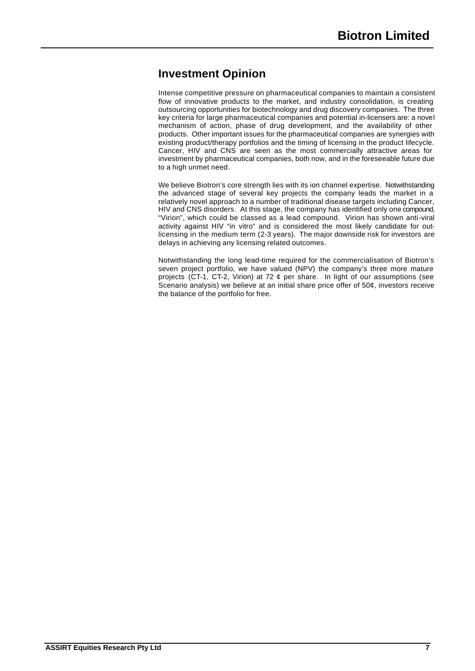# **Investment Opinion**

Intense competitive pressure on pharmaceutical companies to maintain a consistent flow of innovative products to the market, and industry consolidation, is creating outsourcing opportunities for biotechnology and drug discovery companies. The three key criteria for large pharmaceutical companies and potential in-licensers are: a novel mechanism of action, phase of drug development, and the availability of other products. Other important issues for the pharmaceutical companies are synergies with existing product/therapy portfolios and the timing of licensing in the product lifecycle. Cancer, HIV and CNS are seen as the most commercially attractive areas for investment by pharmaceutical companies, both now, and in the foreseeable future due to a high unmet need.

We believe Biotron's core strength lies with its ion channel expertise. Notwithstanding the advanced stage of several key projects the company leads the market in a relatively novel approach to a number of traditional disease targets including Cancer, HIV and CNS disorders. At this stage, the company has identified only one compound, "Virion", which could be classed as a lead compound. Virion has shown anti-viral activity against HIV "in vitro" and is considered the most likely candidate for outlicensing in the medium term (2-3 years). The major downside risk for investors are delays in achieving any licensing related outcomes.

Notwithstanding the long lead-time required for the commercialisation of Biotron's seven project portfolio, we have valued (NPV) the company's three more mature projects (CT-1, CT-2, Virion) at 72 ¢ per share. In light of our assumptions (see Scenario analysis) we believe at an initial share price offer of 50¢, investors receive the balance of the portfolio for free.